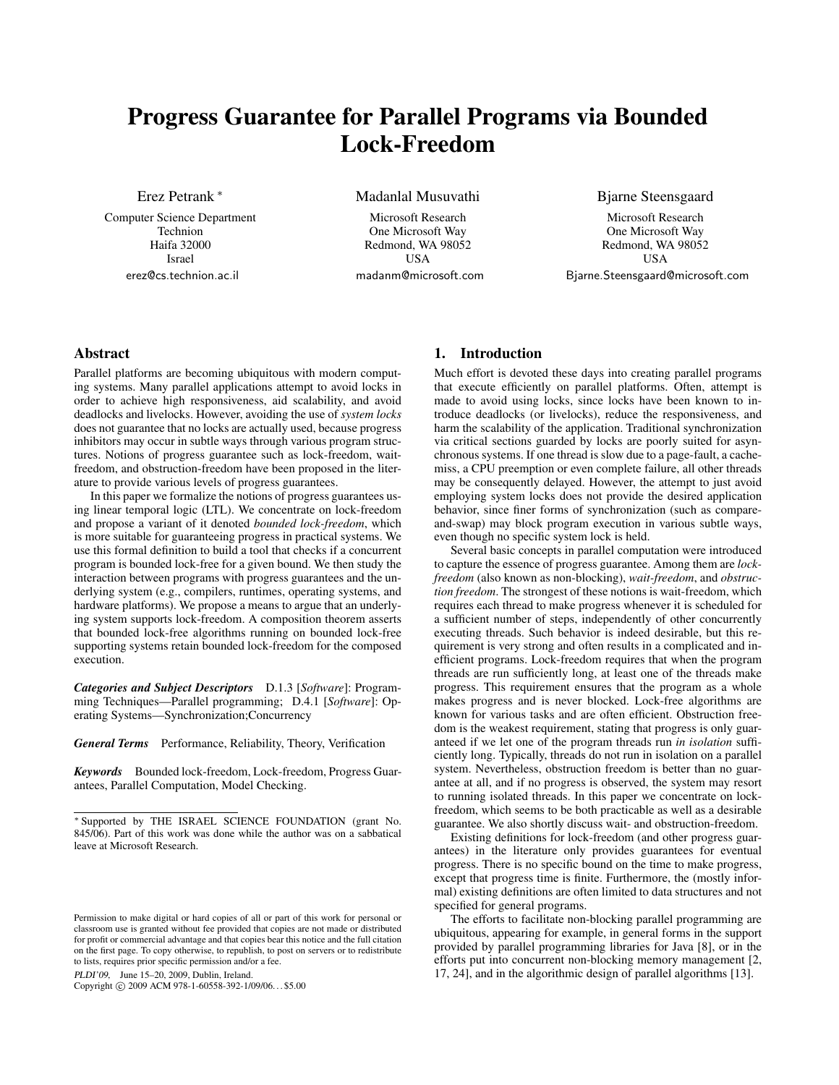# Progress Guarantee for Parallel Programs via Bounded Lock-Freedom

Erez Petrank <sup>∗</sup>

Computer Science Department Technion Haifa 32000 Israel erez@cs.technion.ac.il

Madanlal Musuvathi

Microsoft Research One Microsoft Way Redmond, WA 98052 **USA** madanm@microsoft.com Bjarne Steensgaard

Microsoft Research One Microsoft Way Redmond, WA 98052 USA Bjarne.Steensgaard@microsoft.com

# Abstract

Parallel platforms are becoming ubiquitous with modern computing systems. Many parallel applications attempt to avoid locks in order to achieve high responsiveness, aid scalability, and avoid deadlocks and livelocks. However, avoiding the use of *system locks* does not guarantee that no locks are actually used, because progress inhibitors may occur in subtle ways through various program structures. Notions of progress guarantee such as lock-freedom, waitfreedom, and obstruction-freedom have been proposed in the literature to provide various levels of progress guarantees.

In this paper we formalize the notions of progress guarantees using linear temporal logic (LTL). We concentrate on lock-freedom and propose a variant of it denoted *bounded lock-freedom*, which is more suitable for guaranteeing progress in practical systems. We use this formal definition to build a tool that checks if a concurrent program is bounded lock-free for a given bound. We then study the interaction between programs with progress guarantees and the underlying system (e.g., compilers, runtimes, operating systems, and hardware platforms). We propose a means to argue that an underlying system supports lock-freedom. A composition theorem asserts that bounded lock-free algorithms running on bounded lock-free supporting systems retain bounded lock-freedom for the composed execution.

*Categories and Subject Descriptors* D.1.3 [*Software*]: Programming Techniques—Parallel programming; D.4.1 [*Software*]: Operating Systems—Synchronization;Concurrency

*General Terms* Performance, Reliability, Theory, Verification

*Keywords* Bounded lock-freedom, Lock-freedom, Progress Guarantees, Parallel Computation, Model Checking.

PLDI'09, June 15–20, 2009, Dublin, Ireland.

Copyright © 2009 ACM 978-1-60558-392-1/09/06... \$5.00

# 1. Introduction

Much effort is devoted these days into creating parallel programs that execute efficiently on parallel platforms. Often, attempt is made to avoid using locks, since locks have been known to introduce deadlocks (or livelocks), reduce the responsiveness, and harm the scalability of the application. Traditional synchronization via critical sections guarded by locks are poorly suited for asynchronous systems. If one thread is slow due to a page-fault, a cachemiss, a CPU preemption or even complete failure, all other threads may be consequently delayed. However, the attempt to just avoid employing system locks does not provide the desired application behavior, since finer forms of synchronization (such as compareand-swap) may block program execution in various subtle ways, even though no specific system lock is held.

Several basic concepts in parallel computation were introduced to capture the essence of progress guarantee. Among them are *lockfreedom* (also known as non-blocking), *wait-freedom*, and *obstruction freedom*. The strongest of these notions is wait-freedom, which requires each thread to make progress whenever it is scheduled for a sufficient number of steps, independently of other concurrently executing threads. Such behavior is indeed desirable, but this requirement is very strong and often results in a complicated and inefficient programs. Lock-freedom requires that when the program threads are run sufficiently long, at least one of the threads make progress. This requirement ensures that the program as a whole makes progress and is never blocked. Lock-free algorithms are known for various tasks and are often efficient. Obstruction freedom is the weakest requirement, stating that progress is only guaranteed if we let one of the program threads run *in isolation* sufficiently long. Typically, threads do not run in isolation on a parallel system. Nevertheless, obstruction freedom is better than no guarantee at all, and if no progress is observed, the system may resort to running isolated threads. In this paper we concentrate on lockfreedom, which seems to be both practicable as well as a desirable guarantee. We also shortly discuss wait- and obstruction-freedom.

Existing definitions for lock-freedom (and other progress guarantees) in the literature only provides guarantees for eventual progress. There is no specific bound on the time to make progress, except that progress time is finite. Furthermore, the (mostly informal) existing definitions are often limited to data structures and not specified for general programs.

The efforts to facilitate non-blocking parallel programming are ubiquitous, appearing for example, in general forms in the support provided by parallel programming libraries for Java [8], or in the efforts put into concurrent non-blocking memory management [2, 17, 24], and in the algorithmic design of parallel algorithms [13].

<sup>∗</sup> Supported by THE ISRAEL SCIENCE FOUNDATION (grant No. 845/06). Part of this work was done while the author was on a sabbatical leave at Microsoft Research.

Permission to make digital or hard copies of all or part of this work for personal or classroom use is granted without fee provided that copies are not made or distributed for profit or commercial advantage and that copies bear this notice and the full citation on the first page. To copy otherwise, to republish, to post on servers or to redistribute to lists, requires prior specific permission and/or a fee.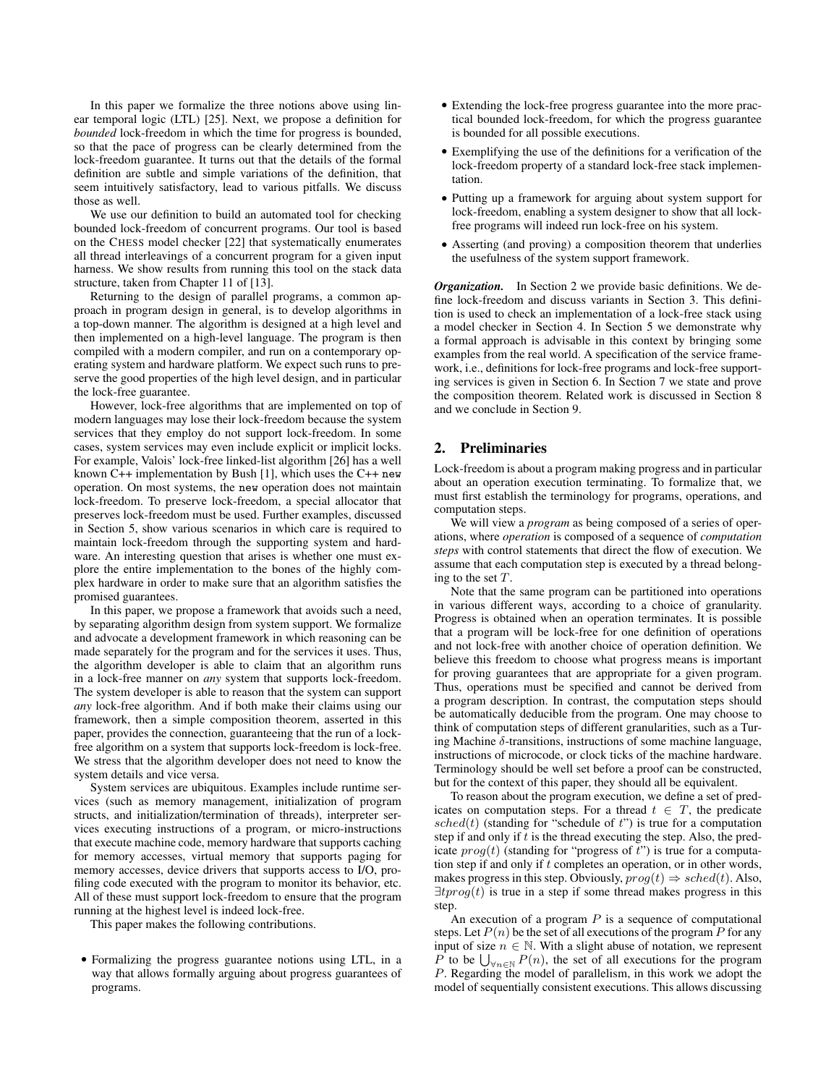In this paper we formalize the three notions above using linear temporal logic (LTL) [25]. Next, we propose a definition for *bounded* lock-freedom in which the time for progress is bounded, so that the pace of progress can be clearly determined from the lock-freedom guarantee. It turns out that the details of the formal definition are subtle and simple variations of the definition, that seem intuitively satisfactory, lead to various pitfalls. We discuss those as well.

We use our definition to build an automated tool for checking bounded lock-freedom of concurrent programs. Our tool is based on the CHESS model checker [22] that systematically enumerates all thread interleavings of a concurrent program for a given input harness. We show results from running this tool on the stack data structure, taken from Chapter 11 of [13].

Returning to the design of parallel programs, a common approach in program design in general, is to develop algorithms in a top-down manner. The algorithm is designed at a high level and then implemented on a high-level language. The program is then compiled with a modern compiler, and run on a contemporary operating system and hardware platform. We expect such runs to preserve the good properties of the high level design, and in particular the lock-free guarantee.

However, lock-free algorithms that are implemented on top of modern languages may lose their lock-freedom because the system services that they employ do not support lock-freedom. In some cases, system services may even include explicit or implicit locks. For example, Valois' lock-free linked-list algorithm [26] has a well known  $C++$  implementation by Bush [1], which uses the  $C++$  new operation. On most systems, the new operation does not maintain lock-freedom. To preserve lock-freedom, a special allocator that preserves lock-freedom must be used. Further examples, discussed in Section 5, show various scenarios in which care is required to maintain lock-freedom through the supporting system and hardware. An interesting question that arises is whether one must explore the entire implementation to the bones of the highly complex hardware in order to make sure that an algorithm satisfies the promised guarantees.

In this paper, we propose a framework that avoids such a need, by separating algorithm design from system support. We formalize and advocate a development framework in which reasoning can be made separately for the program and for the services it uses. Thus, the algorithm developer is able to claim that an algorithm runs in a lock-free manner on *any* system that supports lock-freedom. The system developer is able to reason that the system can support *any* lock-free algorithm. And if both make their claims using our framework, then a simple composition theorem, asserted in this paper, provides the connection, guaranteeing that the run of a lockfree algorithm on a system that supports lock-freedom is lock-free. We stress that the algorithm developer does not need to know the system details and vice versa.

System services are ubiquitous. Examples include runtime services (such as memory management, initialization of program structs, and initialization/termination of threads), interpreter services executing instructions of a program, or micro-instructions that execute machine code, memory hardware that supports caching for memory accesses, virtual memory that supports paging for memory accesses, device drivers that supports access to I/O, profiling code executed with the program to monitor its behavior, etc. All of these must support lock-freedom to ensure that the program running at the highest level is indeed lock-free.

This paper makes the following contributions.

• Formalizing the progress guarantee notions using LTL, in a way that allows formally arguing about progress guarantees of programs.

- Extending the lock-free progress guarantee into the more practical bounded lock-freedom, for which the progress guarantee is bounded for all possible executions.
- Exemplifying the use of the definitions for a verification of the lock-freedom property of a standard lock-free stack implementation.
- Putting up a framework for arguing about system support for lock-freedom, enabling a system designer to show that all lockfree programs will indeed run lock-free on his system.
- Asserting (and proving) a composition theorem that underlies the usefulness of the system support framework.

*Organization.* In Section 2 we provide basic definitions. We define lock-freedom and discuss variants in Section 3. This definition is used to check an implementation of a lock-free stack using a model checker in Section 4. In Section 5 we demonstrate why a formal approach is advisable in this context by bringing some examples from the real world. A specification of the service framework, i.e., definitions for lock-free programs and lock-free supporting services is given in Section 6. In Section 7 we state and prove the composition theorem. Related work is discussed in Section 8 and we conclude in Section 9.

# 2. Preliminaries

Lock-freedom is about a program making progress and in particular about an operation execution terminating. To formalize that, we must first establish the terminology for programs, operations, and computation steps.

We will view a *program* as being composed of a series of operations, where *operation* is composed of a sequence of *computation steps* with control statements that direct the flow of execution. We assume that each computation step is executed by a thread belonging to the set T.

Note that the same program can be partitioned into operations in various different ways, according to a choice of granularity. Progress is obtained when an operation terminates. It is possible that a program will be lock-free for one definition of operations and not lock-free with another choice of operation definition. We believe this freedom to choose what progress means is important for proving guarantees that are appropriate for a given program. Thus, operations must be specified and cannot be derived from a program description. In contrast, the computation steps should be automatically deducible from the program. One may choose to think of computation steps of different granularities, such as a Turing Machine  $\delta$ -transitions, instructions of some machine language, instructions of microcode, or clock ticks of the machine hardware. Terminology should be well set before a proof can be constructed, but for the context of this paper, they should all be equivalent.

To reason about the program execution, we define a set of predicates on computation steps. For a thread  $t \in T$ , the predicate  $sched(t)$  (standing for "schedule of t") is true for a computation step if and only if  $t$  is the thread executing the step. Also, the predicate  $prog(t)$  (standing for "progress of t") is true for a computation step if and only if t completes an operation, or in other words, makes progress in this step. Obviously,  $prog(t) \Rightarrow sched(t)$ . Also,  $\exists$ *tprog*(*t*) is true in a step if some thread makes progress in this step.

An execution of a program  $P$  is a sequence of computational steps. Let  $P(n)$  be the set of all executions of the program P for any input of size  $n \in \mathbb{N}$ . With a slight abuse of notation, we represent P to be  $\bigcup_{\forall n \in \mathbb{N}} P(n)$ , the set of all executions for the program P. Regarding the model of parallelism, in this work we adopt the model of sequentially consistent executions. This allows discussing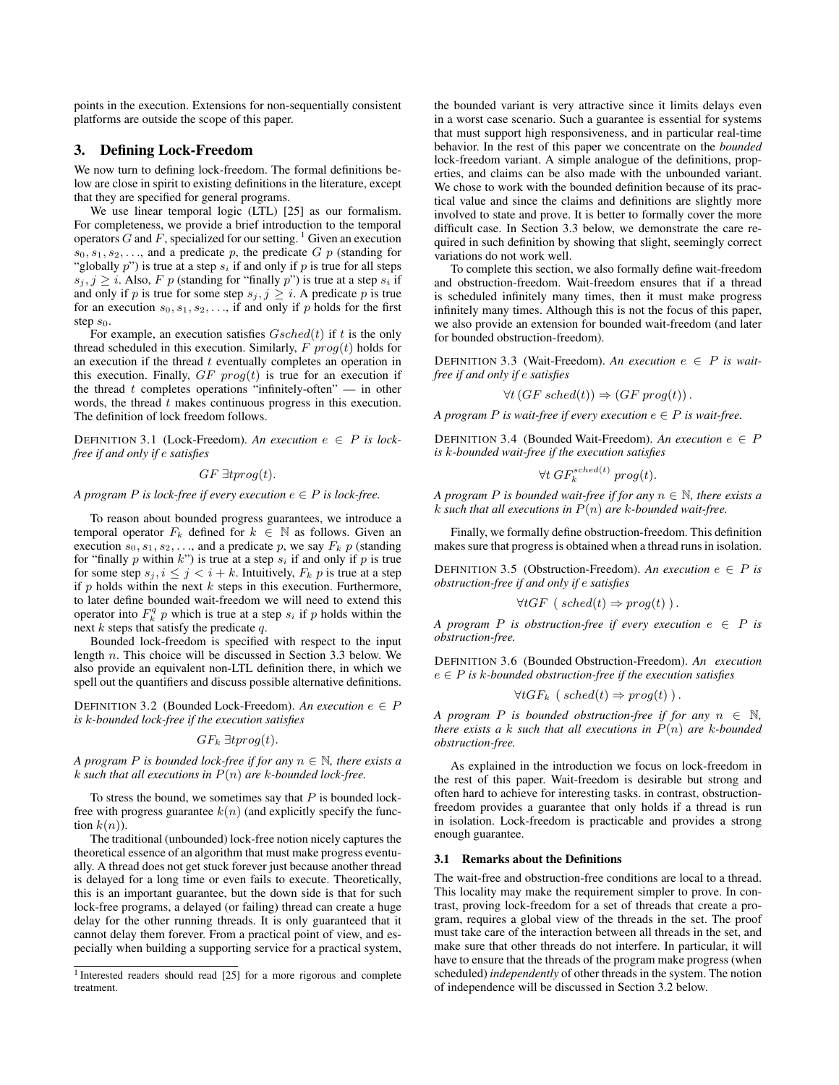points in the execution. Extensions for non-sequentially consistent platforms are outside the scope of this paper.

# 3. Defining Lock-Freedom

We now turn to defining lock-freedom. The formal definitions below are close in spirit to existing definitions in the literature, except that they are specified for general programs.

We use linear temporal logic (LTL) [25] as our formalism. For completeness, we provide a brief introduction to the temporal operators G and F, specialized for our setting.  $\frac{1}{1}$  Given an execution  $s_0, s_1, s_2, \ldots$ , and a predicate p, the predicate G p (standing for "globally  $p$ ") is true at a step  $s_i$  if and only if p is true for all steps  $s_i, j \geq i$ . Also, F p (standing for "finally p") is true at a step  $s_i$  if and only if p is true for some step  $s_j, j \geq i$ . A predicate p is true for an execution  $s_0, s_1, s_2, \ldots$ , if and only if p holds for the first step  $s_0$ .

For example, an execution satisfies  $Gsched(t)$  if t is the only thread scheduled in this execution. Similarly,  $F$   $prog(t)$  holds for an execution if the thread  $t$  eventually completes an operation in this execution. Finally,  $GF$   $prog(t)$  is true for an execution if the thread  $t$  completes operations "infinitely-often" — in other words, the thread  $t$  makes continuous progress in this execution. The definition of lock freedom follows.

DEFINITION 3.1 (Lock-Freedom). An execution  $e \in P$  is lock*free if and only if* e *satisfies*

 $GF \exists {tprog(t)}.$ 

*A program P is lock-free if every execution*  $e \in P$  *is lock-free.* 

To reason about bounded progress guarantees, we introduce a temporal operator  $F_k$  defined for  $k \in \mathbb{N}$  as follows. Given an execution  $s_0, s_1, s_2, \ldots$ , and a predicate p, we say  $F_k$  p (standing for "finally p within  $k$ ") is true at a step  $s_i$  if and only if p is true for some step  $s_j, i \leq j < i+k$ . Intuitively,  $F_k$  p is true at a step if  $p$  holds within the next  $k$  steps in this execution. Furthermore, to later define bounded wait-freedom we will need to extend this operator into  $F_k^q$  p which is true at a step  $s_i$  if p holds within the next  $k$  steps that satisfy the predicate  $q$ .

Bounded lock-freedom is specified with respect to the input length n. This choice will be discussed in Section 3.3 below. We also provide an equivalent non-LTL definition there, in which we spell out the quantifiers and discuss possible alternative definitions.

DEFINITION 3.2 (Bounded Lock-Freedom). An execution  $e \in P$ *is* k*-bounded lock-free if the execution satisfies*

$$
GF_k \exists {tprog(t)}.
$$

*A program P is bounded lock-free if for any*  $n \in \mathbb{N}$ *, there exists a* k *such that all executions in* P(n) *are* k*-bounded lock-free.*

To stress the bound, we sometimes say that  $P$  is bounded lockfree with progress guarantee  $k(n)$  (and explicitly specify the function  $k(n)$ ).

The traditional (unbounded) lock-free notion nicely captures the theoretical essence of an algorithm that must make progress eventually. A thread does not get stuck forever just because another thread is delayed for a long time or even fails to execute. Theoretically, this is an important guarantee, but the down side is that for such lock-free programs, a delayed (or failing) thread can create a huge delay for the other running threads. It is only guaranteed that it cannot delay them forever. From a practical point of view, and especially when building a supporting service for a practical system,

the bounded variant is very attractive since it limits delays even in a worst case scenario. Such a guarantee is essential for systems that must support high responsiveness, and in particular real-time behavior. In the rest of this paper we concentrate on the *bounded* lock-freedom variant. A simple analogue of the definitions, properties, and claims can be also made with the unbounded variant. We chose to work with the bounded definition because of its practical value and since the claims and definitions are slightly more involved to state and prove. It is better to formally cover the more difficult case. In Section 3.3 below, we demonstrate the care required in such definition by showing that slight, seemingly correct variations do not work well.

To complete this section, we also formally define wait-freedom and obstruction-freedom. Wait-freedom ensures that if a thread is scheduled infinitely many times, then it must make progress infinitely many times. Although this is not the focus of this paper, we also provide an extension for bounded wait-freedom (and later for bounded obstruction-freedom).

DEFINITION 3.3 (Wait-Freedom). An execution  $e \in P$  is wait*free if and only if* e *satisfies*

$$
\forall t \left( GF \; sched(t) \right) \Rightarrow \left( GF \; prog(t) \right).
$$

*A program P is wait-free if every execution*  $e \in P$  *is wait-free.* 

DEFINITION 3.4 (Bounded Wait-Freedom). An execution  $e \in P$ *is* k*-bounded wait-free if the execution satisfies*

$$
\forall t \; GF_k^{sched(t)} \; prog(t).
$$

*A program P is bounded wait-free if for any*  $n \in \mathbb{N}$ *, there exists a* k *such that all executions in* P(n) *are* k*-bounded wait-free.*

Finally, we formally define obstruction-freedom. This definition makes sure that progress is obtained when a thread runs in isolation.

DEFINITION 3.5 (Obstruction-Freedom). An execution  $e \in P$  is *obstruction-free if and only if* e *satisfies*

$$
\forall tGF \ (sched(t) \Rightarrow prog(t) ).
$$

*A* program *P* is obstruction-free if every execution  $e \in P$  is *obstruction-free.*

DEFINITION 3.6 (Bounded Obstruction-Freedom). *An execution* e ∈ P *is* k*-bounded obstruction-free if the execution satisfies*

$$
\forall tGF_k \ (sched(t) \Rightarrow prog(t) ).
$$

*A* program *P* is bounded obstruction-free if for any  $n \in \mathbb{N}$ , *there exists a* k *such that all executions in* P(n) *are* k*-bounded obstruction-free.*

As explained in the introduction we focus on lock-freedom in the rest of this paper. Wait-freedom is desirable but strong and often hard to achieve for interesting tasks. in contrast, obstructionfreedom provides a guarantee that only holds if a thread is run in isolation. Lock-freedom is practicable and provides a strong enough guarantee.

#### 3.1 Remarks about the Definitions

The wait-free and obstruction-free conditions are local to a thread. This locality may make the requirement simpler to prove. In contrast, proving lock-freedom for a set of threads that create a program, requires a global view of the threads in the set. The proof must take care of the interaction between all threads in the set, and make sure that other threads do not interfere. In particular, it will have to ensure that the threads of the program make progress (when scheduled) *independently* of other threads in the system. The notion of independence will be discussed in Section 3.2 below.

<sup>&</sup>lt;sup>1</sup> Interested readers should read [25] for a more rigorous and complete treatment.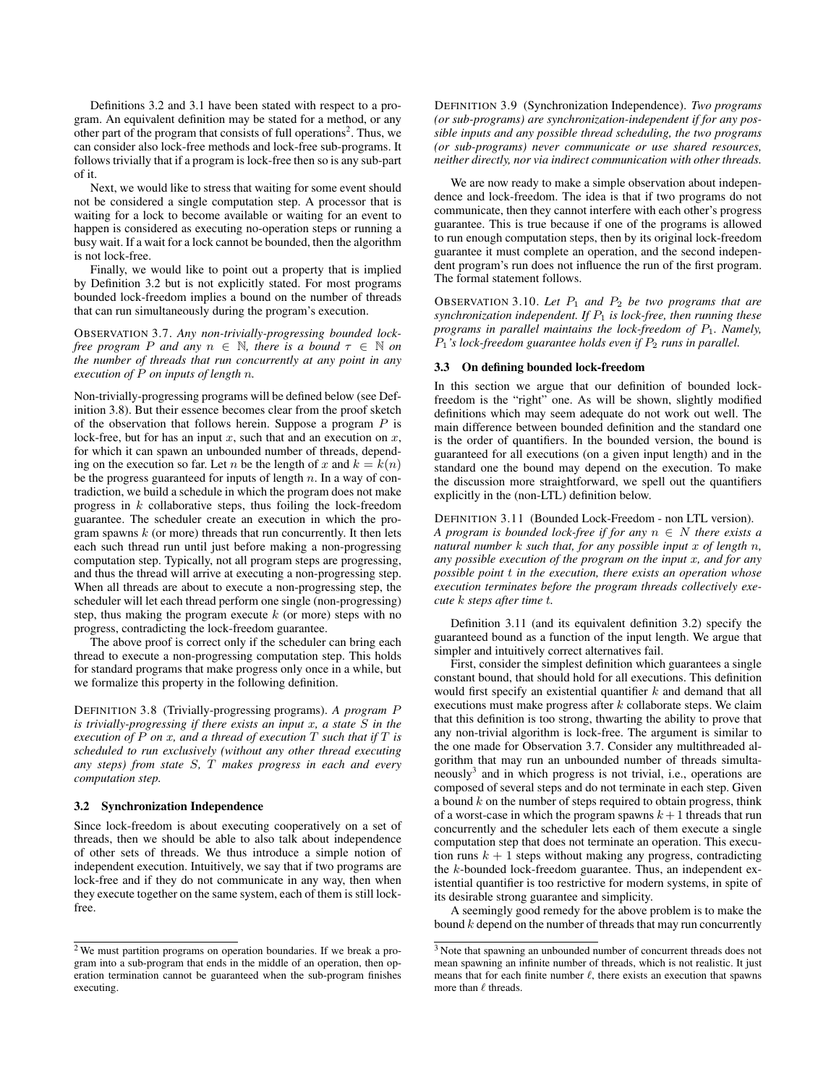Definitions 3.2 and 3.1 have been stated with respect to a program. An equivalent definition may be stated for a method, or any other part of the program that consists of full operations<sup>2</sup>. Thus, we can consider also lock-free methods and lock-free sub-programs. It follows trivially that if a program is lock-free then so is any sub-part of it.

Next, we would like to stress that waiting for some event should not be considered a single computation step. A processor that is waiting for a lock to become available or waiting for an event to happen is considered as executing no-operation steps or running a busy wait. If a wait for a lock cannot be bounded, then the algorithm is not lock-free.

Finally, we would like to point out a property that is implied by Definition 3.2 but is not explicitly stated. For most programs bounded lock-freedom implies a bound on the number of threads that can run simultaneously during the program's execution.

OBSERVATION 3.7. *Any non-trivially-progressing bounded lockfree program P and any*  $n \in \mathbb{N}$ *, there is a bound*  $\tau \in \mathbb{N}$  *on the number of threads that run concurrently at any point in any execution of* P *on inputs of length* n*.*

Non-trivially-progressing programs will be defined below (see Definition 3.8). But their essence becomes clear from the proof sketch of the observation that follows herein. Suppose a program  $P$  is lock-free, but for has an input  $x$ , such that and an execution on  $x$ , for which it can spawn an unbounded number of threads, depending on the execution so far. Let *n* be the length of x and  $k = k(n)$ be the progress guaranteed for inputs of length  $n$ . In a way of contradiction, we build a schedule in which the program does not make progress in  $k$  collaborative steps, thus foiling the lock-freedom guarantee. The scheduler create an execution in which the program spawns  $k$  (or more) threads that run concurrently. It then lets each such thread run until just before making a non-progressing computation step. Typically, not all program steps are progressing, and thus the thread will arrive at executing a non-progressing step. When all threads are about to execute a non-progressing step, the scheduler will let each thread perform one single (non-progressing) step, thus making the program execute  $k$  (or more) steps with no progress, contradicting the lock-freedom guarantee.

The above proof is correct only if the scheduler can bring each thread to execute a non-progressing computation step. This holds for standard programs that make progress only once in a while, but we formalize this property in the following definition.

DEFINITION 3.8 (Trivially-progressing programs). *A program* P *is trivially-progressing if there exists an input* x*, a state* S *in the execution of* P *on* x*, and a thread of execution* T *such that if* T *is scheduled to run exclusively (without any other thread executing any steps) from state* S*,* T *makes progress in each and every computation step.*

# 3.2 Synchronization Independence

Since lock-freedom is about executing cooperatively on a set of threads, then we should be able to also talk about independence of other sets of threads. We thus introduce a simple notion of independent execution. Intuitively, we say that if two programs are lock-free and if they do not communicate in any way, then when they execute together on the same system, each of them is still lockfree.

DEFINITION 3.9 (Synchronization Independence). *Two programs (or sub-programs) are synchronization-independent if for any possible inputs and any possible thread scheduling, the two programs (or sub-programs) never communicate or use shared resources, neither directly, nor via indirect communication with other threads.*

We are now ready to make a simple observation about independence and lock-freedom. The idea is that if two programs do not communicate, then they cannot interfere with each other's progress guarantee. This is true because if one of the programs is allowed to run enough computation steps, then by its original lock-freedom guarantee it must complete an operation, and the second independent program's run does not influence the run of the first program. The formal statement follows.

OBSERVATION 3.10. Let  $P_1$  and  $P_2$  be two programs that are *synchronization independent. If*  $P_1$  *is lock-free, then running these programs in parallel maintains the lock-freedom of*  $P_1$ *. Namely,*  $P_1$ 's lock-freedom guarantee holds even if  $P_2$  runs in parallel.

# 3.3 On defining bounded lock-freedom

In this section we argue that our definition of bounded lockfreedom is the "right" one. As will be shown, slightly modified definitions which may seem adequate do not work out well. The main difference between bounded definition and the standard one is the order of quantifiers. In the bounded version, the bound is guaranteed for all executions (on a given input length) and in the standard one the bound may depend on the execution. To make the discussion more straightforward, we spell out the quantifiers explicitly in the (non-LTL) definition below.

# DEFINITION 3.11 (Bounded Lock-Freedom - non LTL version).

*A program is bounded lock-free if for any*  $n \in N$  *there exists a natural number* k *such that, for any possible input* x *of length* n*, any possible execution of the program on the input* x*, and for any possible point* t *in the execution, there exists an operation whose execution terminates before the program threads collectively execute* k *steps after time* t*.*

Definition 3.11 (and its equivalent definition 3.2) specify the guaranteed bound as a function of the input length. We argue that simpler and intuitively correct alternatives fail.

First, consider the simplest definition which guarantees a single constant bound, that should hold for all executions. This definition would first specify an existential quantifier  $k$  and demand that all executions must make progress after  $k$  collaborate steps. We claim that this definition is too strong, thwarting the ability to prove that any non-trivial algorithm is lock-free. The argument is similar to the one made for Observation 3.7. Consider any multithreaded algorithm that may run an unbounded number of threads simultaneously<sup>3</sup> and in which progress is not trivial, i.e., operations are composed of several steps and do not terminate in each step. Given a bound  $k$  on the number of steps required to obtain progress, think of a worst-case in which the program spawns  $k + 1$  threads that run concurrently and the scheduler lets each of them execute a single computation step that does not terminate an operation. This execution runs  $k + 1$  steps without making any progress, contradicting the k-bounded lock-freedom guarantee. Thus, an independent existential quantifier is too restrictive for modern systems, in spite of its desirable strong guarantee and simplicity.

A seemingly good remedy for the above problem is to make the bound  $k$  depend on the number of threads that may run concurrently

<sup>2</sup> We must partition programs on operation boundaries. If we break a program into a sub-program that ends in the middle of an operation, then operation termination cannot be guaranteed when the sub-program finishes executing.

<sup>&</sup>lt;sup>3</sup> Note that spawning an unbounded number of concurrent threads does not mean spawning an infinite number of threads, which is not realistic. It just means that for each finite number  $\ell$ , there exists an execution that spawns more than  $\ell$  threads.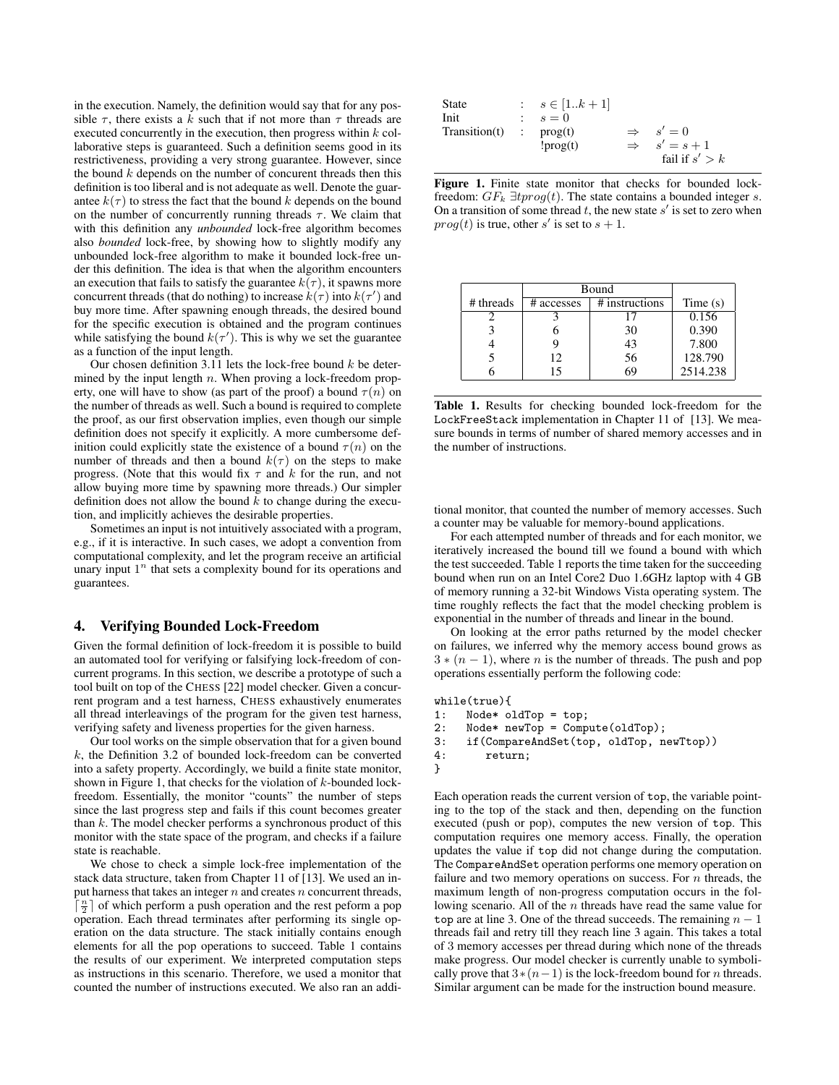in the execution. Namely, the definition would say that for any possible  $\tau$ , there exists a k such that if not more than  $\tau$  threads are executed concurrently in the execution, then progress within  $k$  collaborative steps is guaranteed. Such a definition seems good in its restrictiveness, providing a very strong guarantee. However, since the bound  $k$  depends on the number of concurent threads then this definition is too liberal and is not adequate as well. Denote the guarantee  $k(\tau)$  to stress the fact that the bound k depends on the bound on the number of concurrently running threads  $\tau$ . We claim that with this definition any *unbounded* lock-free algorithm becomes also *bounded* lock-free, by showing how to slightly modify any unbounded lock-free algorithm to make it bounded lock-free under this definition. The idea is that when the algorithm encounters an execution that fails to satisfy the guarantee  $k(\tau)$ , it spawns more concurrent threads (that do nothing) to increase  $k(\tau)$  into  $k(\tau')$  and buy more time. After spawning enough threads, the desired bound for the specific execution is obtained and the program continues while satisfying the bound  $k(\tau')$ . This is why we set the guarantee as a function of the input length.

Our chosen definition 3.11 lets the lock-free bound  $k$  be determined by the input length  $n$ . When proving a lock-freedom property, one will have to show (as part of the proof) a bound  $\tau(n)$  on the number of threads as well. Such a bound is required to complete the proof, as our first observation implies, even though our simple definition does not specify it explicitly. A more cumbersome definition could explicitly state the existence of a bound  $\tau(n)$  on the number of threads and then a bound  $k(\tau)$  on the steps to make progress. (Note that this would fix  $\tau$  and k for the run, and not allow buying more time by spawning more threads.) Our simpler definition does not allow the bound  $k$  to change during the execution, and implicitly achieves the desirable properties.

Sometimes an input is not intuitively associated with a program, e.g., if it is interactive. In such cases, we adopt a convention from computational complexity, and let the program receive an artificial unary input  $1^n$  that sets a complexity bound for its operations and guarantees.

# 4. Verifying Bounded Lock-Freedom

Given the formal definition of lock-freedom it is possible to build an automated tool for verifying or falsifying lock-freedom of concurrent programs. In this section, we describe a prototype of such a tool built on top of the CHESS [22] model checker. Given a concurrent program and a test harness, CHESS exhaustively enumerates all thread interleavings of the program for the given test harness, verifying safety and liveness properties for the given harness.

Our tool works on the simple observation that for a given bound  $k$ , the Definition 3.2 of bounded lock-freedom can be converted into a safety property. Accordingly, we build a finite state monitor, shown in Figure 1, that checks for the violation of  $k$ -bounded lockfreedom. Essentially, the monitor "counts" the number of steps since the last progress step and fails if this count becomes greater than  $k$ . The model checker performs a synchronous product of this monitor with the state space of the program, and checks if a failure state is reachable.

We chose to check a simple lock-free implementation of the stack data structure, taken from Chapter 11 of [13]. We used an input harness that takes an integer  $n$  and creates  $n$  concurrent threads,  $\lceil \frac{n}{2} \rceil$  of which perform a push operation and the rest peform a pop operation. Each thread terminates after performing its single operation on the data structure. The stack initially contains enough elements for all the pop operations to succeed. Table 1 contains the results of our experiment. We interpreted computation steps as instructions in this scenario. Therefore, we used a monitor that counted the number of instructions executed. We also ran an addi-

| State                     | : $s \in [1k+1]$   |                            |
|---------------------------|--------------------|----------------------------|
| Init                      | $\therefore$ $s=0$ |                            |
| Transition(t) : $prog(t)$ |                    | $\Rightarrow$ $s' = 0$     |
|                           | $!$ prog $(t)$     | $\Rightarrow$ $s' = s + 1$ |
|                           |                    | fail if $s' > k$           |

Figure 1. Finite state monitor that checks for bounded lockfreedom:  $GF_k \exists trprog(t)$ . The state contains a bounded integer s. On a transition of some thread  $t$ , the new state  $s'$  is set to zero when  $prog(t)$  is true, other s' is set to  $s + 1$ .

|           | Bound      |                |          |
|-----------|------------|----------------|----------|
| # threads | # accesses | # instructions | Time(s)  |
|           |            | 17             | 0.156    |
|           |            | 30             | 0.390    |
|           |            | 43             | 7.800    |
|           | 12         | 56             | 128.790  |
|           |            | 69             | 2514.238 |

Table 1. Results for checking bounded lock-freedom for the LockFreeStack implementation in Chapter 11 of [13]. We measure bounds in terms of number of shared memory accesses and in the number of instructions.

tional monitor, that counted the number of memory accesses. Such a counter may be valuable for memory-bound applications.

For each attempted number of threads and for each monitor, we iteratively increased the bound till we found a bound with which the test succeeded. Table 1 reports the time taken for the succeeding bound when run on an Intel Core2 Duo 1.6GHz laptop with 4 GB of memory running a 32-bit Windows Vista operating system. The time roughly reflects the fact that the model checking problem is exponential in the number of threads and linear in the bound.

On looking at the error paths returned by the model checker on failures, we inferred why the memory access bound grows as  $3*(n-1)$ , where *n* is the number of threads. The push and pop operations essentially perform the following code:

while(true){

```
1: Node* oldTop = top;<br>2: Node* newTop = Comp
```

```
Node* newTop = Compute(oldTop);
```

```
3: if(CompareAndSet(top, oldTop, newTtop))
```

```
4: return;
```

```
}
```
Each operation reads the current version of top, the variable pointing to the top of the stack and then, depending on the function executed (push or pop), computes the new version of top. This computation requires one memory access. Finally, the operation updates the value if top did not change during the computation. The CompareAndSet operation performs one memory operation on failure and two memory operations on success. For  $n$  threads, the maximum length of non-progress computation occurs in the following scenario. All of the n threads have read the same value for top are at line 3. One of the thread succeeds. The remaining  $n - 1$ threads fail and retry till they reach line 3 again. This takes a total of 3 memory accesses per thread during which none of the threads make progress. Our model checker is currently unable to symbolically prove that  $3*(n-1)$  is the lock-freedom bound for *n* threads. Similar argument can be made for the instruction bound measure.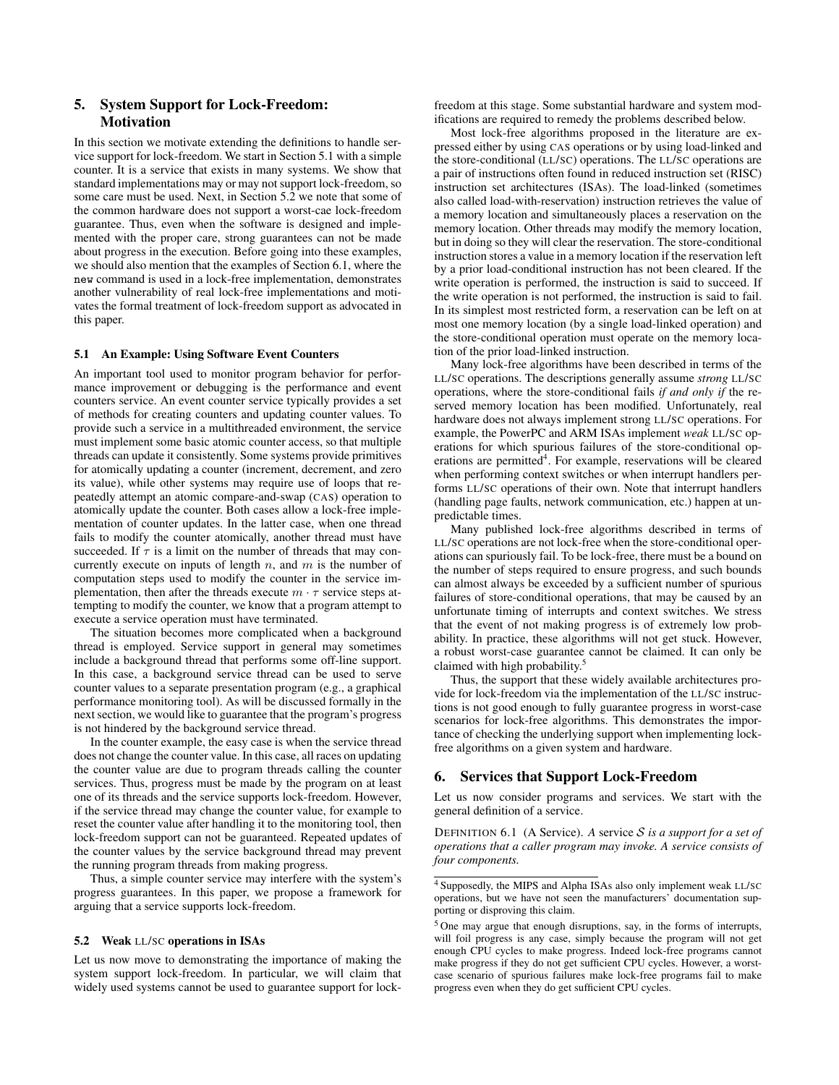# 5. System Support for Lock-Freedom: Motivation

In this section we motivate extending the definitions to handle service support for lock-freedom. We start in Section 5.1 with a simple counter. It is a service that exists in many systems. We show that standard implementations may or may not support lock-freedom, so some care must be used. Next, in Section 5.2 we note that some of the common hardware does not support a worst-cae lock-freedom guarantee. Thus, even when the software is designed and implemented with the proper care, strong guarantees can not be made about progress in the execution. Before going into these examples, we should also mention that the examples of Section 6.1, where the new command is used in a lock-free implementation, demonstrates another vulnerability of real lock-free implementations and motivates the formal treatment of lock-freedom support as advocated in this paper.

#### 5.1 An Example: Using Software Event Counters

An important tool used to monitor program behavior for performance improvement or debugging is the performance and event counters service. An event counter service typically provides a set of methods for creating counters and updating counter values. To provide such a service in a multithreaded environment, the service must implement some basic atomic counter access, so that multiple threads can update it consistently. Some systems provide primitives for atomically updating a counter (increment, decrement, and zero its value), while other systems may require use of loops that repeatedly attempt an atomic compare-and-swap (CAS) operation to atomically update the counter. Both cases allow a lock-free implementation of counter updates. In the latter case, when one thread fails to modify the counter atomically, another thread must have succeeded. If  $\tau$  is a limit on the number of threads that may concurrently execute on inputs of length  $n$ , and  $m$  is the number of computation steps used to modify the counter in the service implementation, then after the threads execute  $m \cdot \tau$  service steps attempting to modify the counter, we know that a program attempt to execute a service operation must have terminated.

The situation becomes more complicated when a background thread is employed. Service support in general may sometimes include a background thread that performs some off-line support. In this case, a background service thread can be used to serve counter values to a separate presentation program (e.g., a graphical performance monitoring tool). As will be discussed formally in the next section, we would like to guarantee that the program's progress is not hindered by the background service thread.

In the counter example, the easy case is when the service thread does not change the counter value. In this case, all races on updating the counter value are due to program threads calling the counter services. Thus, progress must be made by the program on at least one of its threads and the service supports lock-freedom. However, if the service thread may change the counter value, for example to reset the counter value after handling it to the monitoring tool, then lock-freedom support can not be guaranteed. Repeated updates of the counter values by the service background thread may prevent the running program threads from making progress.

Thus, a simple counter service may interfere with the system's progress guarantees. In this paper, we propose a framework for arguing that a service supports lock-freedom.

#### 5.2 Weak LL/SC operations in ISAs

Let us now move to demonstrating the importance of making the system support lock-freedom. In particular, we will claim that widely used systems cannot be used to guarantee support for lockfreedom at this stage. Some substantial hardware and system modifications are required to remedy the problems described below.

Most lock-free algorithms proposed in the literature are expressed either by using CAS operations or by using load-linked and the store-conditional (LL/SC) operations. The LL/SC operations are a pair of instructions often found in reduced instruction set (RISC) instruction set architectures (ISAs). The load-linked (sometimes also called load-with-reservation) instruction retrieves the value of a memory location and simultaneously places a reservation on the memory location. Other threads may modify the memory location, but in doing so they will clear the reservation. The store-conditional instruction stores a value in a memory location if the reservation left by a prior load-conditional instruction has not been cleared. If the write operation is performed, the instruction is said to succeed. If the write operation is not performed, the instruction is said to fail. In its simplest most restricted form, a reservation can be left on at most one memory location (by a single load-linked operation) and the store-conditional operation must operate on the memory location of the prior load-linked instruction.

Many lock-free algorithms have been described in terms of the LL/SC operations. The descriptions generally assume *strong* LL/SC operations, where the store-conditional fails *if and only if* the reserved memory location has been modified. Unfortunately, real hardware does not always implement strong LL/SC operations. For example, the PowerPC and ARM ISAs implement *weak* LL/SC operations for which spurious failures of the store-conditional operations are permitted<sup>4</sup>. For example, reservations will be cleared when performing context switches or when interrupt handlers performs LL/SC operations of their own. Note that interrupt handlers (handling page faults, network communication, etc.) happen at unpredictable times.

Many published lock-free algorithms described in terms of LL/SC operations are not lock-free when the store-conditional operations can spuriously fail. To be lock-free, there must be a bound on the number of steps required to ensure progress, and such bounds can almost always be exceeded by a sufficient number of spurious failures of store-conditional operations, that may be caused by an unfortunate timing of interrupts and context switches. We stress that the event of not making progress is of extremely low probability. In practice, these algorithms will not get stuck. However, a robust worst-case guarantee cannot be claimed. It can only be claimed with high probability.<sup>5</sup>

Thus, the support that these widely available architectures provide for lock-freedom via the implementation of the LL/SC instructions is not good enough to fully guarantee progress in worst-case scenarios for lock-free algorithms. This demonstrates the importance of checking the underlying support when implementing lockfree algorithms on a given system and hardware.

#### 6. Services that Support Lock-Freedom

Let us now consider programs and services. We start with the general definition of a service.

DEFINITION 6.1 (A Service). *A* service S *is a support for a set of operations that a caller program may invoke. A service consists of four components.*

<sup>4</sup> Supposedly, the MIPS and Alpha ISAs also only implement weak LL/SC operations, but we have not seen the manufacturers' documentation supporting or disproving this claim.

 $5$  One may argue that enough disruptions, say, in the forms of interrupts, will foil progress is any case, simply because the program will not get enough CPU cycles to make progress. Indeed lock-free programs cannot make progress if they do not get sufficient CPU cycles. However, a worstcase scenario of spurious failures make lock-free programs fail to make progress even when they do get sufficient CPU cycles.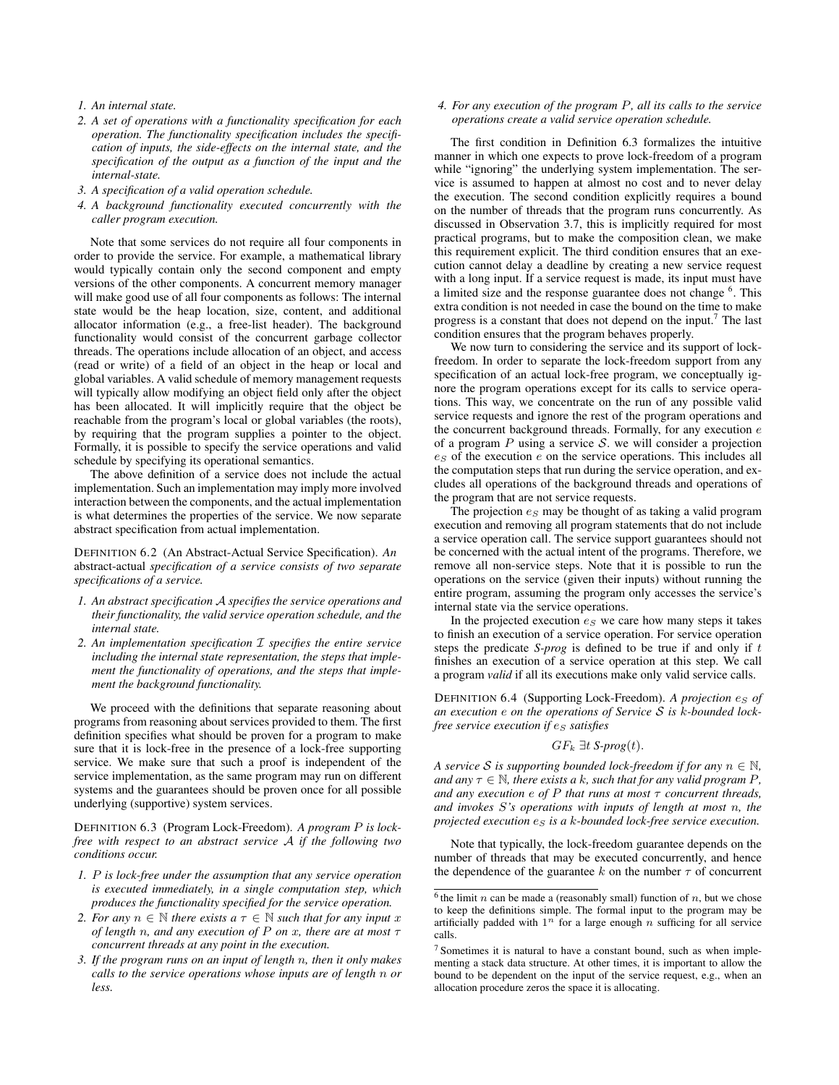## *1. An internal state.*

- *2. A set of operations with a functionality specification for each operation. The functionality specification includes the specification of inputs, the side-effects on the internal state, and the specification of the output as a function of the input and the internal-state.*
- *3. A specification of a valid operation schedule.*
- *4. A background functionality executed concurrently with the caller program execution.*

Note that some services do not require all four components in order to provide the service. For example, a mathematical library would typically contain only the second component and empty versions of the other components. A concurrent memory manager will make good use of all four components as follows: The internal state would be the heap location, size, content, and additional allocator information (e.g., a free-list header). The background functionality would consist of the concurrent garbage collector threads. The operations include allocation of an object, and access (read or write) of a field of an object in the heap or local and global variables. A valid schedule of memory management requests will typically allow modifying an object field only after the object has been allocated. It will implicitly require that the object be reachable from the program's local or global variables (the roots), by requiring that the program supplies a pointer to the object. Formally, it is possible to specify the service operations and valid schedule by specifying its operational semantics.

The above definition of a service does not include the actual implementation. Such an implementation may imply more involved interaction between the components, and the actual implementation is what determines the properties of the service. We now separate abstract specification from actual implementation.

DEFINITION 6.2 (An Abstract-Actual Service Specification). *An* abstract-actual *specification of a service consists of two separate specifications of a service.*

- *1. An abstract specification* A *specifies the service operations and their functionality, the valid service operation schedule, and the internal state.*
- *2. An implementation specification* I *specifies the entire service including the internal state representation, the steps that implement the functionality of operations, and the steps that implement the background functionality.*

We proceed with the definitions that separate reasoning about programs from reasoning about services provided to them. The first definition specifies what should be proven for a program to make sure that it is lock-free in the presence of a lock-free supporting service. We make sure that such a proof is independent of the service implementation, as the same program may run on different systems and the guarantees should be proven once for all possible underlying (supportive) system services.

DEFINITION 6.3 (Program Lock-Freedom). *A program* P *is lockfree with respect to an abstract service* A *if the following two conditions occur.*

- *1.* P *is lock-free under the assumption that any service operation is executed immediately, in a single computation step, which produces the functionality specified for the service operation.*
- *2. For any*  $n \in \mathbb{N}$  *there exists a*  $\tau \in \mathbb{N}$  *such that for any input* x *of length* n*, and any execution of* P *on* x*, there are at most* τ *concurrent threads at any point in the execution.*
- *3. If the program runs on an input of length* n*, then it only makes calls to the service operations whose inputs are of length* n *or less.*

#### *4. For any execution of the program* P*, all its calls to the service operations create a valid service operation schedule.*

The first condition in Definition 6.3 formalizes the intuitive manner in which one expects to prove lock-freedom of a program while "ignoring" the underlying system implementation. The service is assumed to happen at almost no cost and to never delay the execution. The second condition explicitly requires a bound on the number of threads that the program runs concurrently. As discussed in Observation 3.7, this is implicitly required for most practical programs, but to make the composition clean, we make this requirement explicit. The third condition ensures that an execution cannot delay a deadline by creating a new service request with a long input. If a service request is made, its input must have a limited size and the response guarantee does not change <sup>6</sup>. This extra condition is not needed in case the bound on the time to make progress is a constant that does not depend on the input.<sup> $\prime$ </sup> The last condition ensures that the program behaves properly.

We now turn to considering the service and its support of lockfreedom. In order to separate the lock-freedom support from any specification of an actual lock-free program, we conceptually ignore the program operations except for its calls to service operations. This way, we concentrate on the run of any possible valid service requests and ignore the rest of the program operations and the concurrent background threads. Formally, for any execution  $e$ of a program  $P$  using a service  $S$ . we will consider a projection  $e_S$  of the execution  $e$  on the service operations. This includes all the computation steps that run during the service operation, and excludes all operations of the background threads and operations of the program that are not service requests.

The projection  $e_S$  may be thought of as taking a valid program execution and removing all program statements that do not include a service operation call. The service support guarantees should not be concerned with the actual intent of the programs. Therefore, we remove all non-service steps. Note that it is possible to run the operations on the service (given their inputs) without running the entire program, assuming the program only accesses the service's internal state via the service operations.

In the projected execution  $e_S$  we care how many steps it takes to finish an execution of a service operation. For service operation steps the predicate *S-prog* is defined to be true if and only if t finishes an execution of a service operation at this step. We call a program *valid* if all its executions make only valid service calls.

DEFINITION 6.4 (Supporting Lock-Freedom). A projection  $e_S$  of *an execution* e *on the operations of Service* S *is* k*-bounded lockfree service execution if*  $e<sub>S</sub>$  *satisfies* 

# $GF_k \exists t \ S\text{-}prog(t).$

*A service* S *is supporting bounded lock-freedom if for any*  $n \in \mathbb{N}$ , *and any*  $\tau \in \mathbb{N}$ *, there exists a k, such that for any valid program* P, *and any execution* e *of* P *that runs at most* τ *concurrent threads, and invokes* S*'s operations with inputs of length at most* n*, the projected execution*  $e_S$  *is a k-bounded lock-free service execution.* 

Note that typically, the lock-freedom guarantee depends on the number of threads that may be executed concurrently, and hence the dependence of the guarantee k on the number  $\tau$  of concurrent

<sup>&</sup>lt;sup>6</sup> the limit *n* can be made a (reasonably small) function of *n*, but we chose to keep the definitions simple. The formal input to the program may be artificially padded with  $1^n$  for a large enough n sufficing for all service calls.

<sup>&</sup>lt;sup>7</sup> Sometimes it is natural to have a constant bound, such as when implementing a stack data structure. At other times, it is important to allow the bound to be dependent on the input of the service request, e.g., when an allocation procedure zeros the space it is allocating.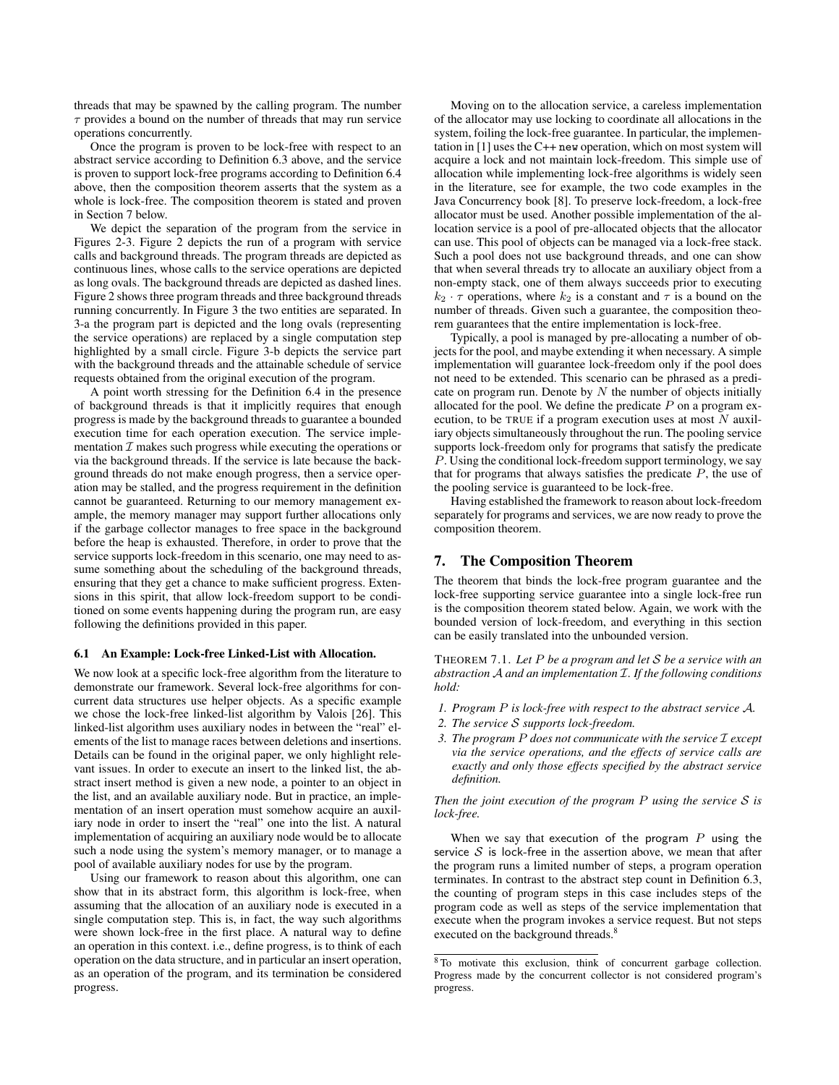threads that may be spawned by the calling program. The number  $\tau$  provides a bound on the number of threads that may run service operations concurrently.

Once the program is proven to be lock-free with respect to an abstract service according to Definition 6.3 above, and the service is proven to support lock-free programs according to Definition 6.4 above, then the composition theorem asserts that the system as a whole is lock-free. The composition theorem is stated and proven in Section 7 below.

We depict the separation of the program from the service in Figures 2-3. Figure 2 depicts the run of a program with service calls and background threads. The program threads are depicted as continuous lines, whose calls to the service operations are depicted as long ovals. The background threads are depicted as dashed lines. Figure 2 shows three program threads and three background threads running concurrently. In Figure 3 the two entities are separated. In 3-a the program part is depicted and the long ovals (representing the service operations) are replaced by a single computation step highlighted by a small circle. Figure 3-b depicts the service part with the background threads and the attainable schedule of service requests obtained from the original execution of the program.

A point worth stressing for the Definition 6.4 in the presence of background threads is that it implicitly requires that enough progress is made by the background threads to guarantee a bounded execution time for each operation execution. The service implementation  $\mathcal I$  makes such progress while executing the operations or via the background threads. If the service is late because the background threads do not make enough progress, then a service operation may be stalled, and the progress requirement in the definition cannot be guaranteed. Returning to our memory management example, the memory manager may support further allocations only if the garbage collector manages to free space in the background before the heap is exhausted. Therefore, in order to prove that the service supports lock-freedom in this scenario, one may need to assume something about the scheduling of the background threads, ensuring that they get a chance to make sufficient progress. Extensions in this spirit, that allow lock-freedom support to be conditioned on some events happening during the program run, are easy following the definitions provided in this paper.

#### 6.1 An Example: Lock-free Linked-List with Allocation.

We now look at a specific lock-free algorithm from the literature to demonstrate our framework. Several lock-free algorithms for concurrent data structures use helper objects. As a specific example we chose the lock-free linked-list algorithm by Valois [26]. This linked-list algorithm uses auxiliary nodes in between the "real" elements of the list to manage races between deletions and insertions. Details can be found in the original paper, we only highlight relevant issues. In order to execute an insert to the linked list, the abstract insert method is given a new node, a pointer to an object in the list, and an available auxiliary node. But in practice, an implementation of an insert operation must somehow acquire an auxiliary node in order to insert the "real" one into the list. A natural implementation of acquiring an auxiliary node would be to allocate such a node using the system's memory manager, or to manage a pool of available auxiliary nodes for use by the program.

Using our framework to reason about this algorithm, one can show that in its abstract form, this algorithm is lock-free, when assuming that the allocation of an auxiliary node is executed in a single computation step. This is, in fact, the way such algorithms were shown lock-free in the first place. A natural way to define an operation in this context. i.e., define progress, is to think of each operation on the data structure, and in particular an insert operation, as an operation of the program, and its termination be considered progress.

Moving on to the allocation service, a careless implementation of the allocator may use locking to coordinate all allocations in the system, foiling the lock-free guarantee. In particular, the implementation in [1] uses the C++ new operation, which on most system will acquire a lock and not maintain lock-freedom. This simple use of allocation while implementing lock-free algorithms is widely seen in the literature, see for example, the two code examples in the Java Concurrency book [8]. To preserve lock-freedom, a lock-free allocator must be used. Another possible implementation of the allocation service is a pool of pre-allocated objects that the allocator can use. This pool of objects can be managed via a lock-free stack. Such a pool does not use background threads, and one can show that when several threads try to allocate an auxiliary object from a non-empty stack, one of them always succeeds prior to executing  $k_2 \cdot \tau$  operations, where  $k_2$  is a constant and  $\tau$  is a bound on the number of threads. Given such a guarantee, the composition theorem guarantees that the entire implementation is lock-free.

Typically, a pool is managed by pre-allocating a number of objects for the pool, and maybe extending it when necessary. A simple implementation will guarantee lock-freedom only if the pool does not need to be extended. This scenario can be phrased as a predicate on program run. Denote by  $N$  the number of objects initially allocated for the pool. We define the predicate  $P$  on a program execution, to be TRUE if a program execution uses at most  $N$  auxiliary objects simultaneously throughout the run. The pooling service supports lock-freedom only for programs that satisfy the predicate P. Using the conditional lock-freedom support terminology, we say that for programs that always satisfies the predicate  $P$ , the use of the pooling service is guaranteed to be lock-free.

Having established the framework to reason about lock-freedom separately for programs and services, we are now ready to prove the composition theorem.

## 7. The Composition Theorem

The theorem that binds the lock-free program guarantee and the lock-free supporting service guarantee into a single lock-free run is the composition theorem stated below. Again, we work with the bounded version of lock-freedom, and everything in this section can be easily translated into the unbounded version.

THEOREM 7.1. *Let* P *be a program and let* S *be a service with an abstraction* A *and an implementation* I*. If the following conditions hold:*

- *1. Program* P *is lock-free with respect to the abstract service* A*.*
- *2. The service* S *supports lock-freedom.*
- *3. The program* P *does not communicate with the service* I *except via the service operations, and the effects of service calls are exactly and only those effects specified by the abstract service definition.*

*Then the joint execution of the program* P *using the service* S *is lock-free.*

When we say that execution of the program  $P$  using the service  $S$  is lock-free in the assertion above, we mean that after the program runs a limited number of steps, a program operation terminates. In contrast to the abstract step count in Definition 6.3, the counting of program steps in this case includes steps of the program code as well as steps of the service implementation that execute when the program invokes a service request. But not steps executed on the background threads.<sup>8</sup>

<sup>8</sup> To motivate this exclusion, think of concurrent garbage collection. Progress made by the concurrent collector is not considered program's progress.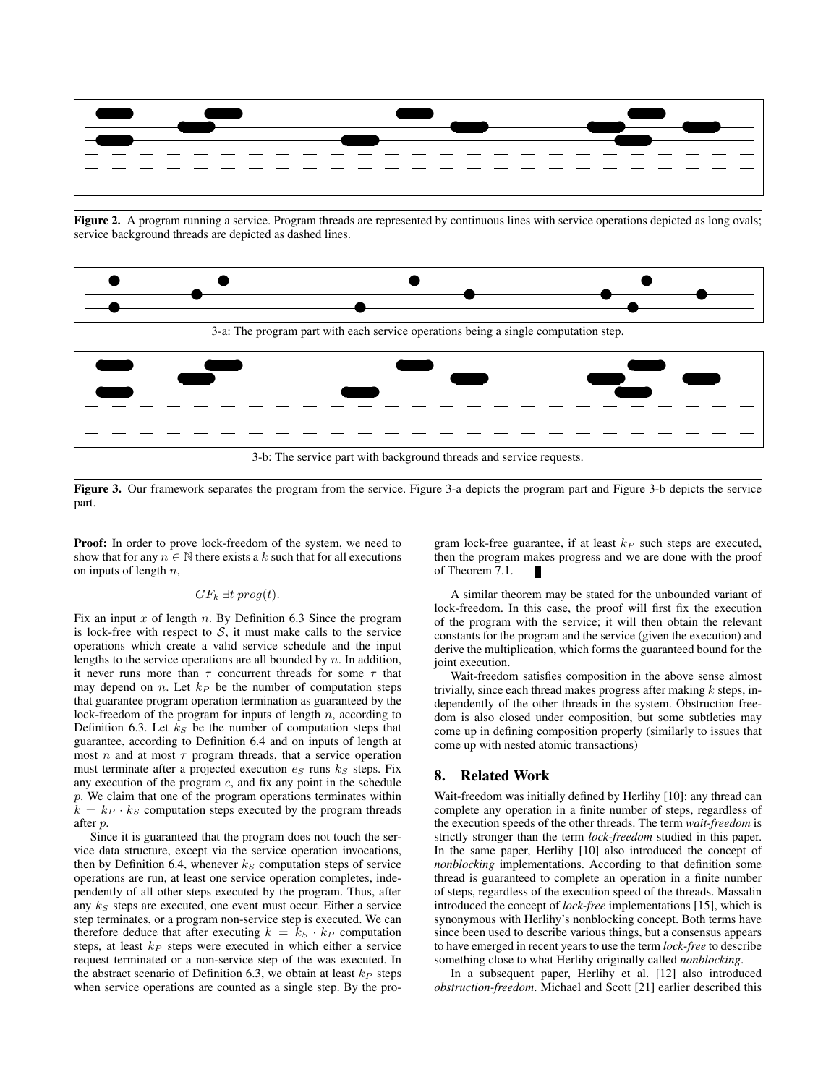

Figure 2. A program running a service. Program threads are represented by continuous lines with service operations depicted as long ovals; service background threads are depicted as dashed lines.







Figure 3. Our framework separates the program from the service. Figure 3-a depicts the program part and Figure 3-b depicts the service

Proof: In order to prove lock-freedom of the system, we need to show that for any  $n \in \mathbb{N}$  there exists a k such that for all executions on inputs of length n,

part.

# $GF_k \exists t \, prog(t).$

Fix an input  $x$  of length  $n$ . By Definition 6.3 Since the program is lock-free with respect to  $S$ , it must make calls to the service operations which create a valid service schedule and the input lengths to the service operations are all bounded by  $n$ . In addition, it never runs more than  $\tau$  concurrent threads for some  $\tau$  that may depend on *n*. Let  $k_P$  be the number of computation steps that guarantee program operation termination as guaranteed by the lock-freedom of the program for inputs of length  $n$ , according to Definition 6.3. Let  $k<sub>S</sub>$  be the number of computation steps that guarantee, according to Definition 6.4 and on inputs of length at most *n* and at most  $\tau$  program threads, that a service operation must terminate after a projected execution  $e_S$  runs  $k_S$  steps. Fix any execution of the program e, and fix any point in the schedule p. We claim that one of the program operations terminates within  $k = k_P \cdot k_S$  computation steps executed by the program threads after p.

Since it is guaranteed that the program does not touch the service data structure, except via the service operation invocations, then by Definition 6.4, whenever  $k<sub>S</sub>$  computation steps of service operations are run, at least one service operation completes, independently of all other steps executed by the program. Thus, after any  $k<sub>S</sub>$  steps are executed, one event must occur. Either a service step terminates, or a program non-service step is executed. We can therefore deduce that after executing  $k = k_S \cdot k_P$  computation steps, at least  $k_P$  steps were executed in which either a service request terminated or a non-service step of the was executed. In the abstract scenario of Definition 6.3, we obtain at least  $k_P$  steps when service operations are counted as a single step. By the pro-

gram lock-free guarantee, if at least  $k_P$  such steps are executed, then the program makes progress and we are done with the proof of Theorem 7.1.

A similar theorem may be stated for the unbounded variant of lock-freedom. In this case, the proof will first fix the execution of the program with the service; it will then obtain the relevant constants for the program and the service (given the execution) and derive the multiplication, which forms the guaranteed bound for the joint execution.

Wait-freedom satisfies composition in the above sense almost trivially, since each thread makes progress after making  $k$  steps, independently of the other threads in the system. Obstruction freedom is also closed under composition, but some subtleties may come up in defining composition properly (similarly to issues that come up with nested atomic transactions)

# 8. Related Work

Wait-freedom was initially defined by Herlihy [10]: any thread can complete any operation in a finite number of steps, regardless of the execution speeds of the other threads. The term *wait-freedom* is strictly stronger than the term *lock-freedom* studied in this paper. In the same paper, Herlihy [10] also introduced the concept of *nonblocking* implementations. According to that definition some thread is guaranteed to complete an operation in a finite number of steps, regardless of the execution speed of the threads. Massalin introduced the concept of *lock-free* implementations [15], which is synonymous with Herlihy's nonblocking concept. Both terms have since been used to describe various things, but a consensus appears to have emerged in recent years to use the term *lock-free* to describe something close to what Herlihy originally called *nonblocking*.

In a subsequent paper, Herlihy et al. [12] also introduced *obstruction-freedom*. Michael and Scott [21] earlier described this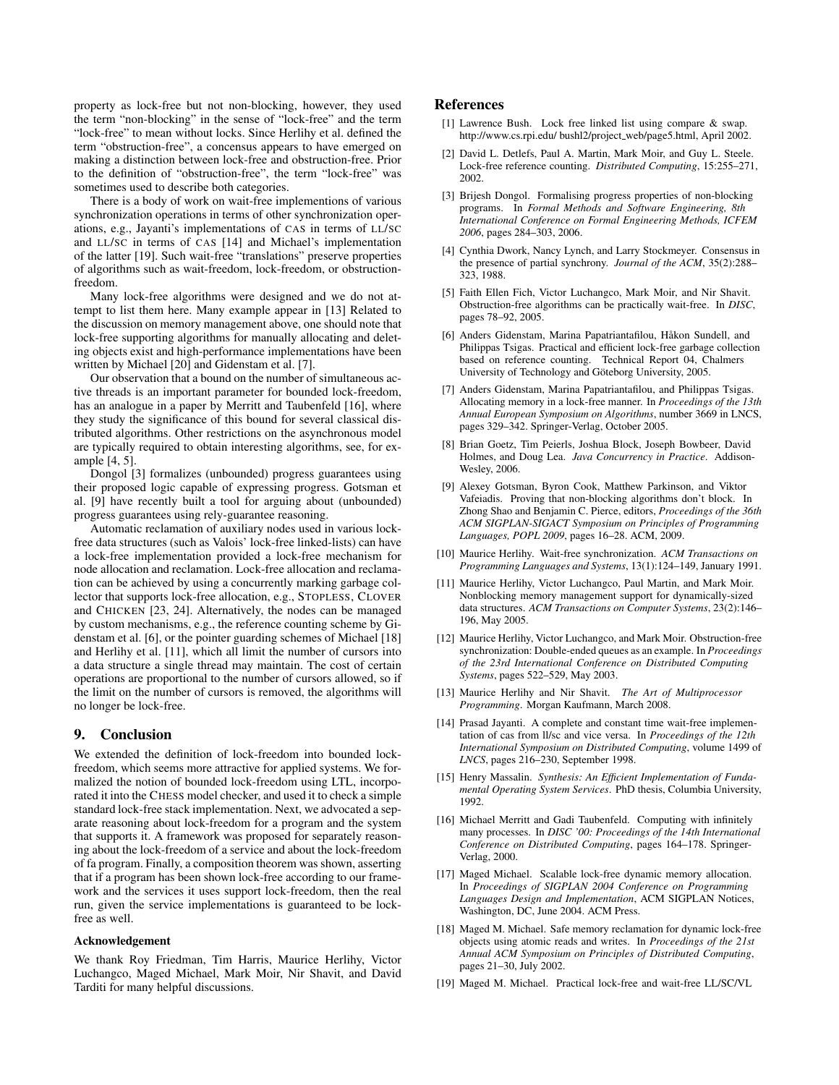property as lock-free but not non-blocking, however, they used the term "non-blocking" in the sense of "lock-free" and the term "lock-free" to mean without locks. Since Herlihy et al. defined the term "obstruction-free", a concensus appears to have emerged on making a distinction between lock-free and obstruction-free. Prior to the definition of "obstruction-free", the term "lock-free" was sometimes used to describe both categories.

There is a body of work on wait-free implementions of various synchronization operations in terms of other synchronization operations, e.g., Jayanti's implementations of CAS in terms of LL/SC and LL/SC in terms of CAS [14] and Michael's implementation of the latter [19]. Such wait-free "translations" preserve properties of algorithms such as wait-freedom, lock-freedom, or obstructionfreedom.

Many lock-free algorithms were designed and we do not attempt to list them here. Many example appear in [13] Related to the discussion on memory management above, one should note that lock-free supporting algorithms for manually allocating and deleting objects exist and high-performance implementations have been written by Michael [20] and Gidenstam et al. [7].

Our observation that a bound on the number of simultaneous active threads is an important parameter for bounded lock-freedom, has an analogue in a paper by Merritt and Taubenfeld [16], where they study the significance of this bound for several classical distributed algorithms. Other restrictions on the asynchronous model are typically required to obtain interesting algorithms, see, for example [4, 5].

Dongol [3] formalizes (unbounded) progress guarantees using their proposed logic capable of expressing progress. Gotsman et al. [9] have recently built a tool for arguing about (unbounded) progress guarantees using rely-guarantee reasoning.

Automatic reclamation of auxiliary nodes used in various lockfree data structures (such as Valois' lock-free linked-lists) can have a lock-free implementation provided a lock-free mechanism for node allocation and reclamation. Lock-free allocation and reclamation can be achieved by using a concurrently marking garbage collector that supports lock-free allocation, e.g., STOPLESS, CLOVER and CHICKEN [23, 24]. Alternatively, the nodes can be managed by custom mechanisms, e.g., the reference counting scheme by Gidenstam et al. [6], or the pointer guarding schemes of Michael [18] and Herlihy et al. [11], which all limit the number of cursors into a data structure a single thread may maintain. The cost of certain operations are proportional to the number of cursors allowed, so if the limit on the number of cursors is removed, the algorithms will no longer be lock-free.

# 9. Conclusion

We extended the definition of lock-freedom into bounded lockfreedom, which seems more attractive for applied systems. We formalized the notion of bounded lock-freedom using LTL, incorporated it into the CHESS model checker, and used it to check a simple standard lock-free stack implementation. Next, we advocated a separate reasoning about lock-freedom for a program and the system that supports it. A framework was proposed for separately reasoning about the lock-freedom of a service and about the lock-freedom of fa program. Finally, a composition theorem was shown, asserting that if a program has been shown lock-free according to our framework and the services it uses support lock-freedom, then the real run, given the service implementations is guaranteed to be lockfree as well.

#### Acknowledgement

We thank Roy Friedman, Tim Harris, Maurice Herlihy, Victor Luchangco, Maged Michael, Mark Moir, Nir Shavit, and David Tarditi for many helpful discussions.

# References

- [1] Lawrence Bush. Lock free linked list using compare & swap. http://www.cs.rpi.edu/ bushl2/project web/page5.html, April 2002.
- [2] David L. Detlefs, Paul A. Martin, Mark Moir, and Guy L. Steele. Lock-free reference counting. *Distributed Computing*, 15:255–271, 2002.
- [3] Brijesh Dongol. Formalising progress properties of non-blocking programs. In *Formal Methods and Software Engineering, 8th International Conference on Formal Engineering Methods, ICFEM 2006*, pages 284–303, 2006.
- [4] Cynthia Dwork, Nancy Lynch, and Larry Stockmeyer. Consensus in the presence of partial synchrony. *Journal of the ACM*, 35(2):288– 323, 1988.
- [5] Faith Ellen Fich, Victor Luchangco, Mark Moir, and Nir Shavit. Obstruction-free algorithms can be practically wait-free. In *DISC*, pages 78–92, 2005.
- [6] Anders Gidenstam, Marina Papatriantafilou, Håkon Sundell, and Philippas Tsigas. Practical and efficient lock-free garbage collection based on reference counting. Technical Report 04, Chalmers University of Technology and Göteborg University, 2005.
- [7] Anders Gidenstam, Marina Papatriantafilou, and Philippas Tsigas. Allocating memory in a lock-free manner. In *Proceedings of the 13th Annual European Symposium on Algorithms*, number 3669 in LNCS, pages 329–342. Springer-Verlag, October 2005.
- [8] Brian Goetz, Tim Peierls, Joshua Block, Joseph Bowbeer, David Holmes, and Doug Lea. *Java Concurrency in Practice*. Addison-Wesley, 2006.
- [9] Alexey Gotsman, Byron Cook, Matthew Parkinson, and Viktor Vafeiadis. Proving that non-blocking algorithms don't block. In Zhong Shao and Benjamin C. Pierce, editors, *Proceedings of the 36th ACM SIGPLAN-SIGACT Symposium on Principles of Programming Languages, POPL 2009*, pages 16–28. ACM, 2009.
- [10] Maurice Herlihy. Wait-free synchronization. *ACM Transactions on Programming Languages and Systems*, 13(1):124–149, January 1991.
- [11] Maurice Herlihy, Victor Luchangco, Paul Martin, and Mark Moir. Nonblocking memory management support for dynamically-sized data structures. *ACM Transactions on Computer Systems*, 23(2):146– 196, May 2005.
- [12] Maurice Herlihy, Victor Luchangco, and Mark Moir. Obstruction-free synchronization: Double-ended queues as an example. In *Proceedings of the 23rd International Conference on Distributed Computing Systems*, pages 522–529, May 2003.
- [13] Maurice Herlihy and Nir Shavit. *The Art of Multiprocessor Programming*. Morgan Kaufmann, March 2008.
- [14] Prasad Jayanti. A complete and constant time wait-free implementation of cas from ll/sc and vice versa. In *Proceedings of the 12th International Symposium on Distributed Computing*, volume 1499 of *LNCS*, pages 216–230, September 1998.
- [15] Henry Massalin. *Synthesis: An Efficient Implementation of Fundamental Operating System Services*. PhD thesis, Columbia University, 1992.
- [16] Michael Merritt and Gadi Taubenfeld. Computing with infinitely many processes. In *DISC '00: Proceedings of the 14th International Conference on Distributed Computing*, pages 164–178. Springer-Verlag, 2000.
- [17] Maged Michael. Scalable lock-free dynamic memory allocation. In *Proceedings of SIGPLAN 2004 Conference on Programming Languages Design and Implementation*, ACM SIGPLAN Notices, Washington, DC, June 2004. ACM Press.
- [18] Maged M. Michael. Safe memory reclamation for dynamic lock-free objects using atomic reads and writes. In *Proceedings of the 21st Annual ACM Symposium on Principles of Distributed Computing*, pages 21–30, July 2002.
- [19] Maged M. Michael. Practical lock-free and wait-free LL/SC/VL